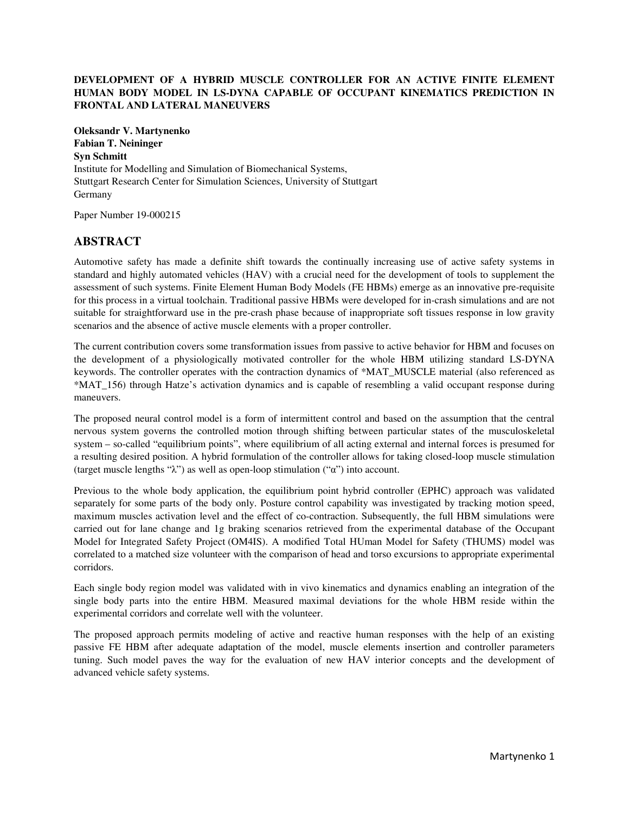## **DEVELOPMENT OF A HYBRID MUSCLE CONTROLLER FOR AN ACTIVE FINITE ELEMENT HUMAN BODY MODEL IN LS-DYNA CAPABLE OF OCCUPANT KINEMATICS PREDICTION IN FRONTAL AND LATERAL MANEUVERS**

**Oleksandr V. Martynenko Fabian T. Neininger Syn Schmitt**  Institute for Modelling and Simulation of Biomechanical Systems, Stuttgart Research Center for Simulation Sciences, University of Stuttgart Germany

Paper Number 19-000215

## **ABSTRACT**

Automotive safety has made a definite shift towards the continually increasing use of active safety systems in standard and highly automated vehicles (HAV) with a crucial need for the development of tools to supplement the assessment of such systems. Finite Element Human Body Models (FE HBMs) emerge as an innovative pre-requisite for this process in a virtual toolchain. Traditional passive HBMs were developed for in-crash simulations and are not suitable for straightforward use in the pre-crash phase because of inappropriate soft tissues response in low gravity scenarios and the absence of active muscle elements with a proper controller.

The current contribution covers some transformation issues from passive to active behavior for HBM and focuses on the development of a physiologically motivated controller for the whole HBM utilizing standard LS-DYNA keywords. The controller operates with the contraction dynamics of \*MAT\_MUSCLE material (also referenced as \*MAT\_156) through Hatze's activation dynamics and is capable of resembling a valid occupant response during maneuvers.

The proposed neural control model is a form of intermittent control and based on the assumption that the central nervous system governs the controlled motion through shifting between particular states of the musculoskeletal system – so-called "equilibrium points", where equilibrium of all acting external and internal forces is presumed for a resulting desired position. A hybrid formulation of the controller allows for taking closed-loop muscle stimulation (target muscle lengths "λ") as well as open-loop stimulation ("α") into account.

Previous to the whole body application, the equilibrium point hybrid controller (EPHC) approach was validated separately for some parts of the body only. Posture control capability was investigated by tracking motion speed, maximum muscles activation level and the effect of co-contraction. Subsequently, the full HBM simulations were carried out for lane change and 1g braking scenarios retrieved from the experimental database of the Occupant Model for Integrated Safety Project (OM4IS). A modified Total HUman Model for Safety (THUMS) model was correlated to a matched size volunteer with the comparison of head and torso excursions to appropriate experimental corridors.

Each single body region model was validated with in vivo kinematics and dynamics enabling an integration of the single body parts into the entire HBM. Measured maximal deviations for the whole HBM reside within the experimental corridors and correlate well with the volunteer.

The proposed approach permits modeling of active and reactive human responses with the help of an existing passive FE HBM after adequate adaptation of the model, muscle elements insertion and controller parameters tuning. Such model paves the way for the evaluation of new HAV interior concepts and the development of advanced vehicle safety systems.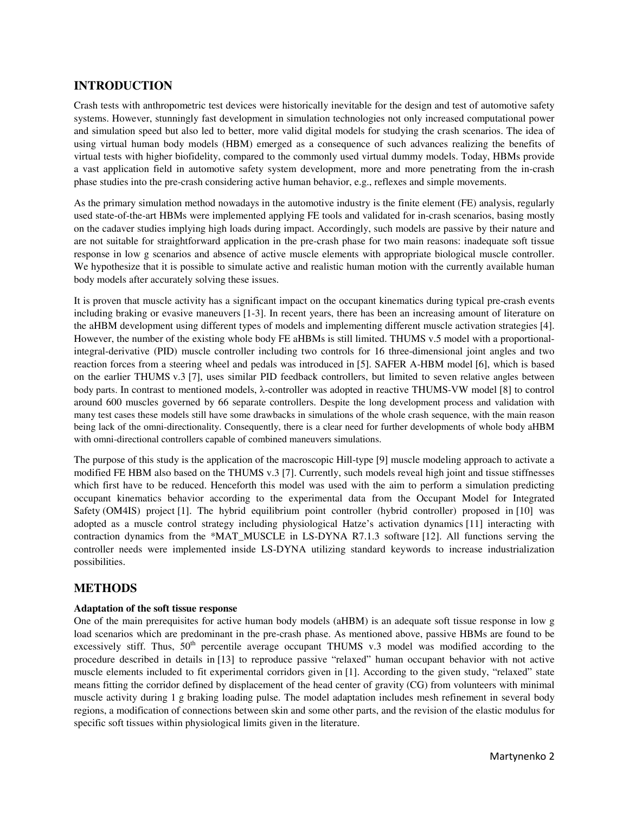# **INTRODUCTION**

Crash tests with anthropometric test devices were historically inevitable for the design and test of automotive safety systems. However, stunningly fast development in simulation technologies not only increased computational power and simulation speed but also led to better, more valid digital models for studying the crash scenarios. The idea of using virtual human body models (HBM) emerged as a consequence of such advances realizing the benefits of virtual tests with higher biofidelity, compared to the commonly used virtual dummy models. Today, HBMs provide a vast application field in automotive safety system development, more and more penetrating from the in-crash phase studies into the pre-crash considering active human behavior, e.g., reflexes and simple movements.

As the primary simulation method nowadays in the automotive industry is the finite element (FE) analysis, regularly used state-of-the-art HBMs were implemented applying FE tools and validated for in-crash scenarios, basing mostly on the cadaver studies implying high loads during impact. Accordingly, such models are passive by their nature and are not suitable for straightforward application in the pre-crash phase for two main reasons: inadequate soft tissue response in low g scenarios and absence of active muscle elements with appropriate biological muscle controller. We hypothesize that it is possible to simulate active and realistic human motion with the currently available human body models after accurately solving these issues.

It is proven that muscle activity has a significant impact on the occupant kinematics during typical pre-crash events including braking or evasive maneuvers [1-3]. In recent years, there has been an increasing amount of literature on the aHBM development using different types of models and implementing different muscle activation strategies [4]. However, the number of the existing whole body FE aHBMs is still limited. THUMS v.5 model with a proportionalintegral-derivative (PID) muscle controller including two controls for 16 three-dimensional joint angles and two reaction forces from a steering wheel and pedals was introduced in [5]. SAFER A-HBM model [6], which is based on the earlier THUMS v.3 [7], uses similar PID feedback controllers, but limited to seven relative angles between body parts. In contrast to mentioned models, λ-controller was adopted in reactive THUMS-VW model [8] to control around 600 muscles governed by 66 separate controllers. Despite the long development process and validation with many test cases these models still have some drawbacks in simulations of the whole crash sequence, with the main reason being lack of the omni-directionality. Consequently, there is a clear need for further developments of whole body aHBM with omni-directional controllers capable of combined maneuvers simulations.

The purpose of this study is the application of the macroscopic Hill-type [9] muscle modeling approach to activate a modified FE HBM also based on the THUMS v.3 [7]. Currently, such models reveal high joint and tissue stiffnesses which first have to be reduced. Henceforth this model was used with the aim to perform a simulation predicting occupant kinematics behavior according to the experimental data from the Occupant Model for Integrated Safety (OM4IS) project [1]. The hybrid equilibrium point controller (hybrid controller) proposed in [10] was adopted as a muscle control strategy including physiological Hatze's activation dynamics [11] interacting with contraction dynamics from the \*MAT\_MUSCLE in LS-DYNA R7.1.3 software [12]. All functions serving the controller needs were implemented inside LS-DYNA utilizing standard keywords to increase industrialization possibilities.

## **METHODS**

### **Adaptation of the soft tissue response**

One of the main prerequisites for active human body models (aHBM) is an adequate soft tissue response in low g load scenarios which are predominant in the pre-crash phase. As mentioned above, passive HBMs are found to be excessively stiff. Thus,  $50<sup>th</sup>$  percentile average occupant THUMS v.3 model was modified according to the procedure described in details in [13] to reproduce passive "relaxed" human occupant behavior with not active muscle elements included to fit experimental corridors given in [1]. According to the given study, "relaxed" state means fitting the corridor defined by displacement of the head center of gravity (CG) from volunteers with minimal muscle activity during 1 g braking loading pulse. The model adaptation includes mesh refinement in several body regions, a modification of connections between skin and some other parts, and the revision of the elastic modulus for specific soft tissues within physiological limits given in the literature.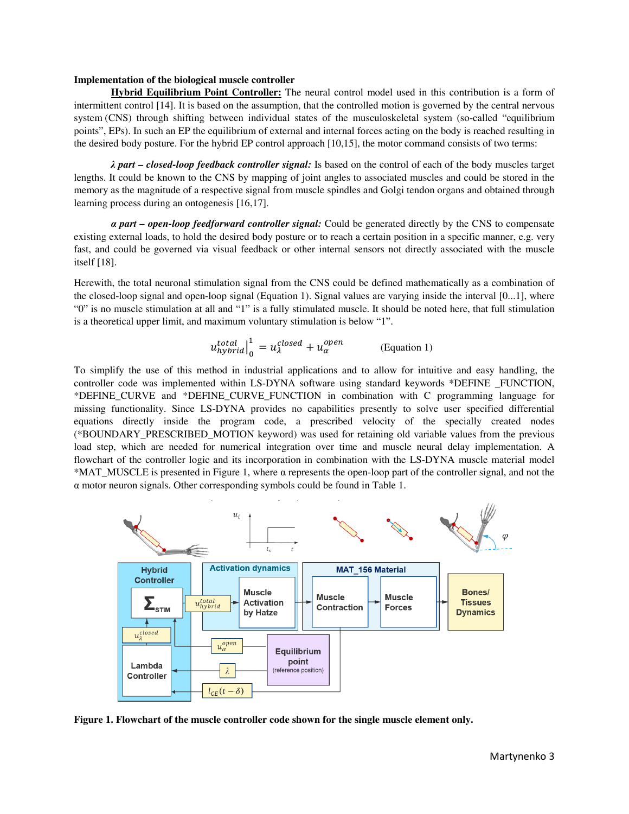#### **Implementation of the biological muscle controller**

**Hybrid Equilibrium Point Controller:** The neural control model used in this contribution is a form of intermittent control [14]. It is based on the assumption, that the controlled motion is governed by the central nervous system (CNS) through shifting between individual states of the musculoskeletal system (so-called "equilibrium points", EPs). In such an EP the equilibrium of external and internal forces acting on the body is reached resulting in the desired body posture. For the hybrid EP control approach [10,15], the motor command consists of two terms:

*λ part – closed-loop feedback controller signal:* Is based on the control of each of the body muscles target lengths. It could be known to the CNS by mapping of joint angles to associated muscles and could be stored in the memory as the magnitude of a respective signal from muscle spindles and Golgi tendon organs and obtained through learning process during an ontogenesis [16,17].

*α part – open-loop feedforward controller signal:* Could be generated directly by the CNS to compensate existing external loads, to hold the desired body posture or to reach a certain position in a specific manner, e.g. very fast, and could be governed via visual feedback or other internal sensors not directly associated with the muscle itself [18].

Herewith, the total neuronal stimulation signal from the CNS could be defined mathematically as a combination of the closed-loop signal and open-loop signal (Equation 1). Signal values are varying inside the interval [0...1], where "0" is no muscle stimulation at all and "1" is a fully stimulated muscle. It should be noted here, that full stimulation is a theoretical upper limit, and maximum voluntary stimulation is below "1".

$$
u_{hybrid}^{total}\Big|_{0}^{1} = u_{\lambda}^{closed} + u_{\alpha}^{open}
$$
 (Equation 1)

To simplify the use of this method in industrial applications and to allow for intuitive and easy handling, the controller code was implemented within LS-DYNA software using standard keywords \*DEFINE FUNCTION, \*DEFINE\_CURVE and \*DEFINE\_CURVE\_FUNCTION in combination with C programming language for missing functionality. Since LS-DYNA provides no capabilities presently to solve user specified differential equations directly inside the program code, a prescribed velocity of the specially created nodes (\*BOUNDARY\_PRESCRIBED\_MOTION keyword) was used for retaining old variable values from the previous load step, which are needed for numerical integration over time and muscle neural delay implementation. A flowchart of the controller logic and its incorporation in combination with the LS-DYNA muscle material model \*MAT\_MUSCLE is presented in Figure 1, where  $\alpha$  represents the open-loop part of the controller signal, and not the α motor neuron signals. Other corresponding symbols could be found in Table 1.



**Figure 1. Flowchart of the muscle controller code shown for the single muscle element only.**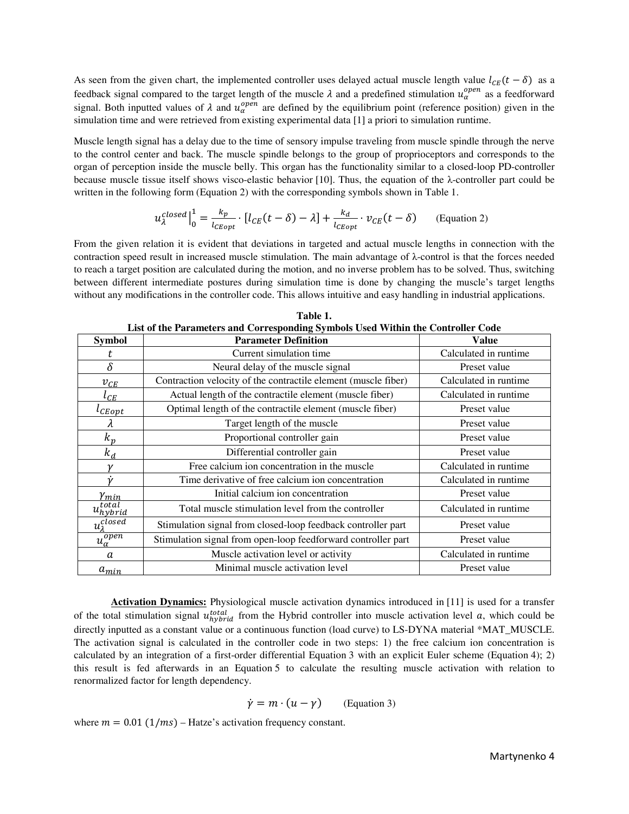As seen from the given chart, the implemented controller uses delayed actual muscle length value  $l_{CE}(t-\delta)$  as a feedback signal compared to the target length of the muscle  $\lambda$  and a predefined stimulation  $u_{\alpha}^{open}$  as a feedforward signal. Both inputted values of  $\lambda$  and  $u_{\alpha}^{open}$  are defined by the equilibrium point (reference position) given in the simulation time and were retrieved from existing experimental data [1] a priori to simulation runtime.

Muscle length signal has a delay due to the time of sensory impulse traveling from muscle spindle through the nerve to the control center and back. The muscle spindle belongs to the group of proprioceptors and corresponds to the organ of perception inside the muscle belly. This organ has the functionality similar to a closed-loop PD-controller because muscle tissue itself shows visco-elastic behavior [10]. Thus, the equation of the λ-controller part could be written in the following form (Equation 2) with the corresponding symbols shown in Table 1.

$$
u_{\lambda}^{closed}\Big|_{0}^{1} = \frac{k_p}{l_{CEopt}} \cdot [l_{CE}(t-\delta) - \lambda] + \frac{k_d}{l_{CEopt}} \cdot v_{CE}(t-\delta)
$$
 (Equation 2)

From the given relation it is evident that deviations in targeted and actual muscle lengths in connection with the contraction speed result in increased muscle stimulation. The main advantage of λ-control is that the forces needed to reach a target position are calculated during the motion, and no inverse problem has to be solved. Thus, switching between different intermediate postures during simulation time is done by changing the muscle's target lengths without any modifications in the controller code. This allows intuitive and easy handling in industrial applications.

| <b>Symbol</b>                    | List of the I arameters and Corresponding Symbols Csea Within the Controller Code<br><b>Parameter Definition</b> | Value                 |
|----------------------------------|------------------------------------------------------------------------------------------------------------------|-----------------------|
| τ                                | Current simulation time                                                                                          | Calculated in runtime |
| $\delta$                         | Neural delay of the muscle signal                                                                                | Preset value          |
| $v_{\mathit{CE}}$                | Contraction velocity of the contractile element (muscle fiber)                                                   | Calculated in runtime |
| $\iota_{\scriptscriptstyle{CE}}$ | Actual length of the contractile element (muscle fiber)                                                          | Calculated in runtime |
| $\iota_{\mathit{CEopt}}$         | Optimal length of the contractile element (muscle fiber)                                                         | Preset value          |
| λ                                | Target length of the muscle                                                                                      | Preset value          |
| $k_p$                            | Proportional controller gain                                                                                     | Preset value          |
| $k_d$                            | Differential controller gain                                                                                     | Preset value          |
|                                  | Free calcium ion concentration in the muscle                                                                     | Calculated in runtime |
|                                  | Time derivative of free calcium ion concentration                                                                | Calculated in runtime |
| Ymin                             | Initial calcium ion concentration                                                                                | Preset value          |
| $u_{hybrid}^{total}$             | Total muscle stimulation level from the controller                                                               | Calculated in runtime |
| $u_{\lambda}^{closed}$           | Stimulation signal from closed-loop feedback controller part                                                     | Preset value          |
| $u_\alpha^{\overline{open}}$     | Stimulation signal from open-loop feedforward controller part                                                    | Preset value          |
| a                                | Muscle activation level or activity                                                                              | Calculated in runtime |
| $a_{min}$                        | Minimal muscle activation level                                                                                  | Preset value          |

**Table 1. List of the Parameters and Corresponding Symbols Used Within the Controller Code** 

**Activation Dynamics:** Physiological muscle activation dynamics introduced in [11] is used for a transfer of the total stimulation signal  $u_{hybrid}^{total}$  from the Hybrid controller into muscle activation level  $a$ , which could be directly inputted as a constant value or a continuous function (load curve) to LS-DYNA material \*MAT\_MUSCLE. The activation signal is calculated in the controller code in two steps: 1) the free calcium ion concentration is calculated by an integration of a first-order differential Equation 3 with an explicit Euler scheme (Equation 4); 2) this result is fed afterwards in an Equation 5 to calculate the resulting muscle activation with relation to renormalized factor for length dependency.

$$
\dot{\gamma} = m \cdot (u - \gamma) \qquad \text{(Equation 3)}
$$

where  $m = 0.01$  (1/ms) – Hatze's activation frequency constant.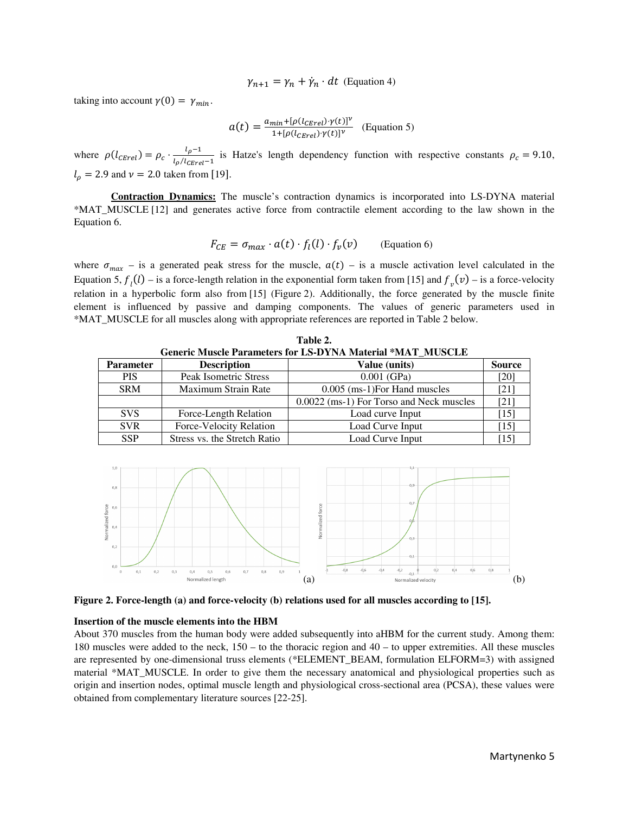$$
\gamma_{n+1} = \gamma_n + \dot{\gamma}_n \cdot dt \text{ (Equation 4)}
$$

taking into account  $\gamma(0) = \gamma_{min}$ .

$$
a(t) = \frac{a_{min} + [\rho(l_{CErel}) \cdot \gamma(t)]^{\nu}}{1 + [\rho(l_{CErel}) \cdot \gamma(t)]^{\nu}}
$$
 (Equation 5)

where  $\rho(l_{\text{CErel}}) = \rho_c \cdot \frac{l_{\rho} - 1}{l_{\rho}/l_{\text{CErel}} - 1}$  is Hatze's length dependency function with respective constants  $\rho_c = 9.10$ ,  $l_{\rho} = 2.9$  and  $\nu = 2.0$  taken from [19].

**Contraction Dynamics:** The muscle's contraction dynamics is incorporated into LS-DYNA material \*MAT\_MUSCLE [12] and generates active force from contractile element according to the law shown in the Equation 6.

$$
F_{CE} = \sigma_{max} \cdot a(t) \cdot f_l(l) \cdot f_v(v) \qquad \text{(Equation 6)}
$$

where  $\sigma_{max}$  – is a generated peak stress for the muscle,  $a(t)$  – is a muscle activation level calculated in the Equation 5,  $f_l(l)$  – is a force-length relation in the exponential form taken from [15] and  $f_v(v)$  – is a force-velocity relation in a hyperbolic form also from [15] (Figure 2). Additionally, the force generated by the muscle finite element is influenced by passive and damping components. The values of generic parameters used in \*MAT\_MUSCLE for all muscles along with appropriate references are reported in Table 2 below.

| OURTR'N MARCH THEATHUR TOT LO-D'ITTE MARTIAL "MELL" MURRELL' |                              |                                          |               |  |  |
|--------------------------------------------------------------|------------------------------|------------------------------------------|---------------|--|--|
| <b>Parameter</b>                                             | <b>Description</b>           | Value (units)                            | <b>Source</b> |  |  |
| <b>PIS</b>                                                   | <b>Peak Isometric Stress</b> | $0.001$ (GPa)                            | [20]          |  |  |
| <b>SRM</b>                                                   | Maximum Strain Rate          | $0.005$ (ms-1)For Hand muscles           | [21]          |  |  |
|                                                              |                              | 0.0022 (ms-1) For Torso and Neck muscles | [21]          |  |  |
| <b>SVS</b>                                                   | Force-Length Relation        | Load curve Input                         | $[15]$        |  |  |
| <b>SVR</b>                                                   | Force-Velocity Relation      | Load Curve Input                         | $[15]$        |  |  |
| <b>SSP</b>                                                   | Stress vs. the Stretch Ratio | Load Curve Input                         | $[15]$        |  |  |

**Table 2. Generic Muscle Parameters for LS-DYNA Material \*MAT\_MUSCLE** 



**Figure 2. Force-length (a) and force-velocity (b) relations used for all muscles according to [15].** 

#### **Insertion of the muscle elements into the HBM**

About 370 muscles from the human body were added subsequently into aHBM for the current study. Among them: 180 muscles were added to the neck, 150 – to the thoracic region and 40 – to upper extremities. All these muscles are represented by one-dimensional truss elements (\*ELEMENT\_BEAM, formulation ELFORM=3) with assigned material \*MAT\_MUSCLE. In order to give them the necessary anatomical and physiological properties such as origin and insertion nodes, optimal muscle length and physiological cross-sectional area (PCSA), these values were obtained from complementary literature sources [22-25].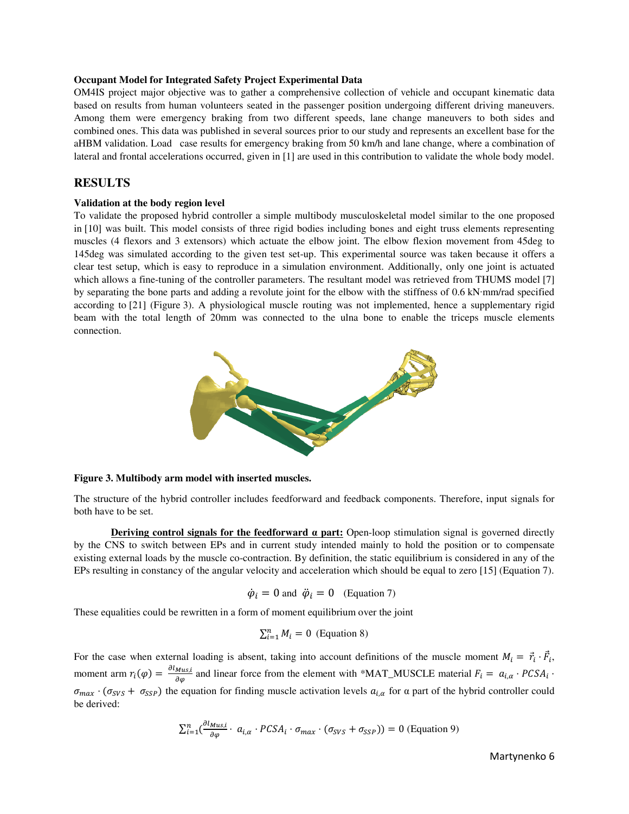#### **Occupant Model for Integrated Safety Project Experimental Data**

OM4IS project major objective was to gather a comprehensive collection of vehicle and occupant kinematic data based on results from human volunteers seated in the passenger position undergoing different driving maneuvers. Among them were emergency braking from two different speeds, lane change maneuvers to both sides and combined ones. This data was published in several sources prior to our study and represents an excellent base for the aHBM validation. Load case results for emergency braking from 50 km/h and lane change, where a combination of lateral and frontal accelerations occurred, given in [1] are used in this contribution to validate the whole body model.

## **RESULTS**

#### **Validation at the body region level**

To validate the proposed hybrid controller a simple multibody musculoskeletal model similar to the one proposed in [10] was built. This model consists of three rigid bodies including bones and eight truss elements representing muscles (4 flexors and 3 extensors) which actuate the elbow joint. The elbow flexion movement from 45deg to 145deg was simulated according to the given test set-up. This experimental source was taken because it offers a clear test setup, which is easy to reproduce in a simulation environment. Additionally, only one joint is actuated which allows a fine-tuning of the controller parameters. The resultant model was retrieved from THUMS model [7] by separating the bone parts and adding a revolute joint for the elbow with the stiffness of 0.6 kN·mm/rad specified according to [21] (Figure 3). A physiological muscle routing was not implemented, hence a supplementary rigid beam with the total length of 20mm was connected to the ulna bone to enable the triceps muscle elements connection.



#### **Figure 3. Multibody arm model with inserted muscles.**

The structure of the hybrid controller includes feedforward and feedback components. Therefore, input signals for both have to be set.

**Deriving control signals for the feedforward α part:** Open-loop stimulation signal is governed directly by the CNS to switch between EPs and in current study intended mainly to hold the position or to compensate existing external loads by the muscle co-contraction. By definition, the static equilibrium is considered in any of the EPs resulting in constancy of the angular velocity and acceleration which should be equal to zero [15] (Equation 7).

$$
\dot{\varphi}_i = 0
$$
 and  $\ddot{\varphi}_i = 0$  (Equation 7)

These equalities could be rewritten in a form of moment equilibrium over the joint

$$
\sum_{i=1}^{n} M_i = 0 \text{ (Equation 8)}
$$

For the case when external loading is absent, taking into account definitions of the muscle moment  $M_i = \vec{r}_i \cdot \vec{F}_i$ , moment arm  $r_i(\varphi) = \frac{\partial l_{Mus,i}}{\partial \varphi}$  and linear force from the element with \*MAT\_MUSCLE material  $F_i = a_{i,\alpha} \cdot PCSA_i$ .  $\sigma_{max} \cdot (\sigma_{SVS} + \sigma_{SSP})$  the equation for finding muscle activation levels  $a_{i,\alpha}$  for  $\alpha$  part of the hybrid controller could be derived:

$$
\sum_{i=1}^{n} \left( \frac{\partial l_{Mus,i}}{\partial \varphi} \cdot a_{i,\alpha} \cdot PCSA_i \cdot \sigma_{max} \cdot (\sigma_{SVS} + \sigma_{SSP}) \right) = 0 \text{ (Equation 9)}
$$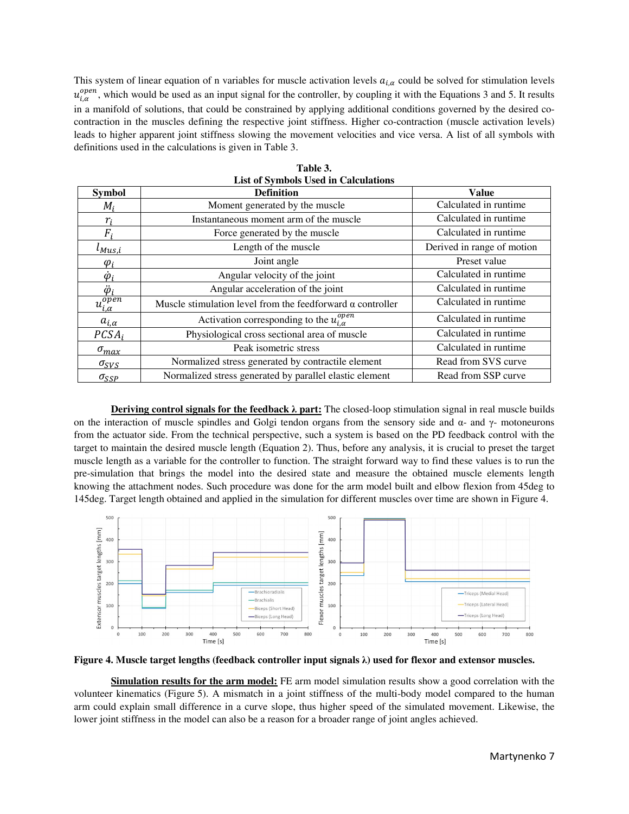This system of linear equation of n variables for muscle activation levels  $a_{i,\alpha}$  could be solved for stimulation levels  $u_{i,a}^{open}$ , which would be used as an input signal for the controller, by coupling it with the Equations 3 and 5. It results in a manifold of solutions, that could be constrained by applying additional conditions governed by the desired cocontraction in the muscles defining the respective joint stiffness. Higher co-contraction (muscle activation levels) leads to higher apparent joint stiffness slowing the movement velocities and vice versa. A list of all symbols with definitions used in the calculations is given in Table 3.

| <b>Symbol</b>                     | <b>Definition</b>                                                 | <b>Value</b>               |
|-----------------------------------|-------------------------------------------------------------------|----------------------------|
| $M_i$                             | Moment generated by the muscle                                    | Calculated in runtime      |
| $r_i$                             | Instantaneous moment arm of the muscle                            | Calculated in runtime      |
| $F_i$                             | Force generated by the muscle                                     | Calculated in runtime      |
| $\iota_{Mus,i}$                   | Length of the muscle                                              | Derived in range of motion |
| $\varphi_i$                       | Joint angle                                                       | Preset value               |
| $\dot{\varphi}_i$                 | Angular velocity of the joint                                     | Calculated in runtime      |
| $\ddot{\varphi}_i$                | Angular acceleration of the joint                                 | Calculated in runtime      |
| $\frac{r_i}{u_{i,\alpha}^{open}}$ | Muscle stimulation level from the feedforward $\alpha$ controller | Calculated in runtime      |
| $a_{i,\alpha}$                    | Activation corresponding to the $u_{i,\alpha}^{open}$             | Calculated in runtime      |
| $PCSA_i$                          | Physiological cross sectional area of muscle                      | Calculated in runtime      |
| $\sigma_{max}$                    | Peak isometric stress                                             | Calculated in runtime      |
| $\sigma_{SVS}$                    | Normalized stress generated by contractile element                | Read from SVS curve        |
| $\sigma_{SSP}$                    | Normalized stress generated by parallel elastic element           | Read from SSP curve        |

**Table 3. List of Symbols Used in Calculations** 

**Deriving control signals for the feedback λ part:** The closed-loop stimulation signal in real muscle builds on the interaction of muscle spindles and Golgi tendon organs from the sensory side and  $\alpha$ - and  $\gamma$ - motoneurons from the actuator side. From the technical perspective, such a system is based on the PD feedback control with the target to maintain the desired muscle length (Equation 2). Thus, before any analysis, it is crucial to preset the target muscle length as a variable for the controller to function. The straight forward way to find these values is to run the pre-simulation that brings the model into the desired state and measure the obtained muscle elements length knowing the attachment nodes. Such procedure was done for the arm model built and elbow flexion from 45deg to 145deg. Target length obtained and applied in the simulation for different muscles over time are shown in Figure 4.



**Figure 4. Muscle target lengths (feedback controller input signals λ) used for flexor and extensor muscles.** 

**Simulation results for the arm model:** FE arm model simulation results show a good correlation with the volunteer kinematics (Figure 5). A mismatch in a joint stiffness of the multi-body model compared to the human arm could explain small difference in a curve slope, thus higher speed of the simulated movement. Likewise, the lower joint stiffness in the model can also be a reason for a broader range of joint angles achieved.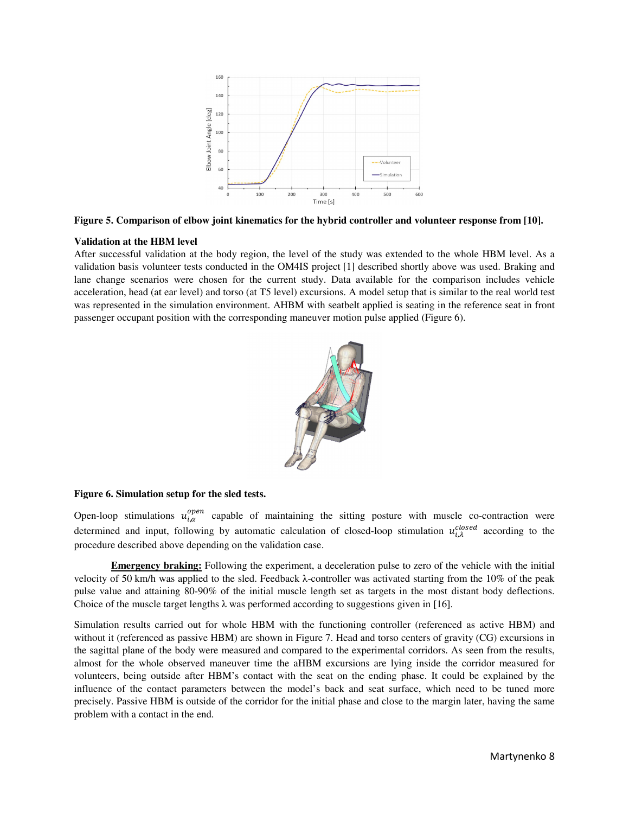

**Figure 5. Comparison of elbow joint kinematics for the hybrid controller and volunteer response from [10].** 

#### **Validation at the HBM level**

After successful validation at the body region, the level of the study was extended to the whole HBM level. As a validation basis volunteer tests conducted in the OM4IS project [1] described shortly above was used. Braking and lane change scenarios were chosen for the current study. Data available for the comparison includes vehicle acceleration, head (at ear level) and torso (at T5 level) excursions. A model setup that is similar to the real world test was represented in the simulation environment. AHBM with seatbelt applied is seating in the reference seat in front passenger occupant position with the corresponding maneuver motion pulse applied (Figure 6).



#### **Figure 6. Simulation setup for the sled tests.**

Open-loop stimulations  $u_{i,\alpha}^{open}$  capable of maintaining the sitting posture with muscle co-contraction were determined and input, following by automatic calculation of closed-loop stimulation  $u_{i,\lambda}^{closed}$  according to the procedure described above depending on the validation case.

**Emergency braking:** Following the experiment, a deceleration pulse to zero of the vehicle with the initial velocity of 50 km/h was applied to the sled. Feedback λ-controller was activated starting from the 10% of the peak pulse value and attaining 80-90% of the initial muscle length set as targets in the most distant body deflections. Choice of the muscle target lengths  $\lambda$  was performed according to suggestions given in [16].

Simulation results carried out for whole HBM with the functioning controller (referenced as active HBM) and without it (referenced as passive HBM) are shown in Figure 7. Head and torso centers of gravity (CG) excursions in the sagittal plane of the body were measured and compared to the experimental corridors. As seen from the results, almost for the whole observed maneuver time the aHBM excursions are lying inside the corridor measured for volunteers, being outside after HBM's contact with the seat on the ending phase. It could be explained by the influence of the contact parameters between the model's back and seat surface, which need to be tuned more precisely. Passive HBM is outside of the corridor for the initial phase and close to the margin later, having the same problem with a contact in the end.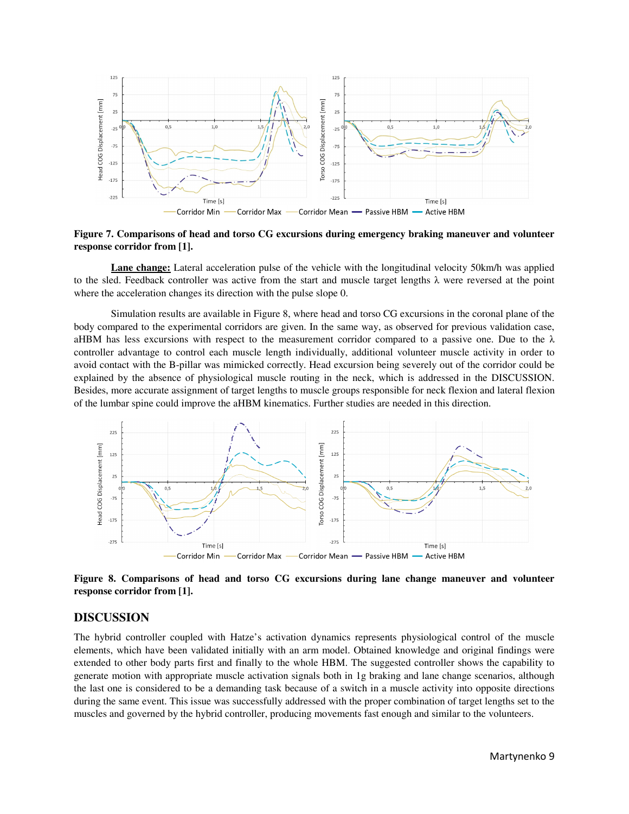

**Figure 7. Comparisons of head and torso CG excursions during emergency braking maneuver and volunteer response corridor from [1].** 

**Lane change:** Lateral acceleration pulse of the vehicle with the longitudinal velocity 50km/h was applied to the sled. Feedback controller was active from the start and muscle target lengths λ were reversed at the point where the acceleration changes its direction with the pulse slope 0.

Simulation results are available in Figure 8, where head and torso CG excursions in the coronal plane of the body compared to the experimental corridors are given. In the same way, as observed for previous validation case, aHBM has less excursions with respect to the measurement corridor compared to a passive one. Due to the  $\lambda$ controller advantage to control each muscle length individually, additional volunteer muscle activity in order to avoid contact with the B-pillar was mimicked correctly. Head excursion being severely out of the corridor could be explained by the absence of physiological muscle routing in the neck, which is addressed in the DISCUSSION. Besides, more accurate assignment of target lengths to muscle groups responsible for neck flexion and lateral flexion of the lumbar spine could improve the aHBM kinematics. Further studies are needed in this direction.



**Figure 8. Comparisons of head and torso CG excursions during lane change maneuver and volunteer response corridor from [1].** 

## **DISCUSSION**

The hybrid controller coupled with Hatze's activation dynamics represents physiological control of the muscle elements, which have been validated initially with an arm model. Obtained knowledge and original findings were extended to other body parts first and finally to the whole HBM. The suggested controller shows the capability to generate motion with appropriate muscle activation signals both in 1g braking and lane change scenarios, although the last one is considered to be a demanding task because of a switch in a muscle activity into opposite directions during the same event. This issue was successfully addressed with the proper combination of target lengths set to the muscles and governed by the hybrid controller, producing movements fast enough and similar to the volunteers.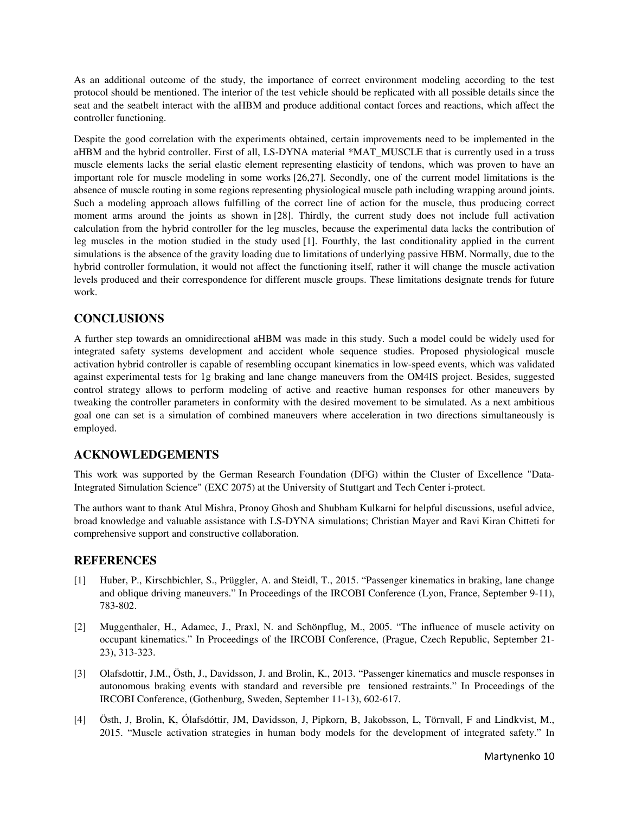As an additional outcome of the study, the importance of correct environment modeling according to the test protocol should be mentioned. The interior of the test vehicle should be replicated with all possible details since the seat and the seatbelt interact with the aHBM and produce additional contact forces and reactions, which affect the controller functioning.

Despite the good correlation with the experiments obtained, certain improvements need to be implemented in the aHBM and the hybrid controller. First of all, LS-DYNA material \*MAT\_MUSCLE that is currently used in a truss muscle elements lacks the serial elastic element representing elasticity of tendons, which was proven to have an important role for muscle modeling in some works [26,27]. Secondly, one of the current model limitations is the absence of muscle routing in some regions representing physiological muscle path including wrapping around joints. Such a modeling approach allows fulfilling of the correct line of action for the muscle, thus producing correct moment arms around the joints as shown in [28]. Thirdly, the current study does not include full activation calculation from the hybrid controller for the leg muscles, because the experimental data lacks the contribution of leg muscles in the motion studied in the study used [1]. Fourthly, the last conditionality applied in the current simulations is the absence of the gravity loading due to limitations of underlying passive HBM. Normally, due to the hybrid controller formulation, it would not affect the functioning itself, rather it will change the muscle activation levels produced and their correspondence for different muscle groups. These limitations designate trends for future work.

# **CONCLUSIONS**

A further step towards an omnidirectional aHBM was made in this study. Such a model could be widely used for integrated safety systems development and accident whole sequence studies. Proposed physiological muscle activation hybrid controller is capable of resembling occupant kinematics in low-speed events, which was validated against experimental tests for 1g braking and lane change maneuvers from the OM4IS project. Besides, suggested control strategy allows to perform modeling of active and reactive human responses for other maneuvers by tweaking the controller parameters in conformity with the desired movement to be simulated. As a next ambitious goal one can set is a simulation of combined maneuvers where acceleration in two directions simultaneously is employed.

## **ACKNOWLEDGEMENTS**

This work was supported by the German Research Foundation (DFG) within the Cluster of Excellence "Data-Integrated Simulation Science" (EXC 2075) at the University of Stuttgart and Tech Center i-protect.

The authors want to thank Atul Mishra, Pronoy Ghosh and Shubham Kulkarni for helpful discussions, useful advice, broad knowledge and valuable assistance with LS-DYNA simulations; Christian Mayer and Ravi Kiran Chitteti for comprehensive support and constructive collaboration.

## **REFERENCES**

- [1] Huber, P., Kirschbichler, S., Prüggler, A. and Steidl, T., 2015. "Passenger kinematics in braking, lane change and oblique driving maneuvers." In Proceedings of the IRCOBI Conference (Lyon, France, September 9-11), 783-802.
- [2] Muggenthaler, H., Adamec, J., Praxl, N. and Schönpflug, M., 2005. "The influence of muscle activity on occupant kinematics." In Proceedings of the IRCOBI Conference, (Prague, Czech Republic, September 21- 23), 313-323.
- [3] Olafsdottir, J.M., Östh, J., Davidsson, J. and Brolin, K., 2013. "Passenger kinematics and muscle responses in autonomous braking events with standard and reversible pretensioned restraints." In Proceedings of the IRCOBI Conference, (Gothenburg, Sweden, September 11-13), 602-617.
- [4] Östh, J, Brolin, K, Ólafsdóttir, JM, Davidsson, J, Pipkorn, B, Jakobsson, L, Törnvall, F and Lindkvist, M., 2015. "Muscle activation strategies in human body models for the development of integrated safety." In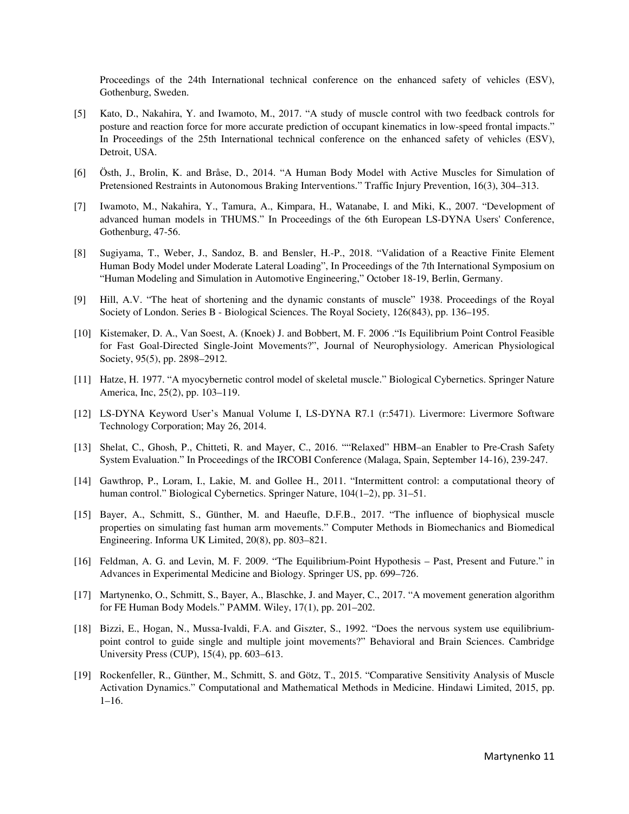Proceedings of the 24th International technical conference on the enhanced safety of vehicles (ESV), Gothenburg, Sweden.

- [5] Kato, D., Nakahira, Y. and Iwamoto, M., 2017. "A study of muscle control with two feedback controls for posture and reaction force for more accurate prediction of occupant kinematics in low-speed frontal impacts." In Proceedings of the 25th International technical conference on the enhanced safety of vehicles (ESV), Detroit, USA.
- [6] Östh, J., Brolin, K. and Bråse, D., 2014. "A Human Body Model with Active Muscles for Simulation of Pretensioned Restraints in Autonomous Braking Interventions." Traffic Injury Prevention, 16(3), 304–313.
- [7] Iwamoto, M., Nakahira, Y., Tamura, A., Kimpara, H., Watanabe, I. and Miki, K., 2007. "Development of advanced human models in THUMS." In Proceedings of the 6th European LS-DYNA Users' Conference, Gothenburg, 47-56.
- [8] Sugiyama, T., Weber, J., Sandoz, B. and Bensler, H.-P., 2018. "Validation of a Reactive Finite Element Human Body Model under Moderate Lateral Loading", In Proceedings of the 7th International Symposium on "Human Modeling and Simulation in Automotive Engineering," October 18-19, Berlin, Germany.
- [9] Hill, A.V. "The heat of shortening and the dynamic constants of muscle" 1938. Proceedings of the Royal Society of London. Series B - Biological Sciences. The Royal Society, 126(843), pp. 136–195.
- [10] Kistemaker, D. A., Van Soest, A. (Knoek) J. and Bobbert, M. F. 2006 ."Is Equilibrium Point Control Feasible for Fast Goal-Directed Single-Joint Movements?", Journal of Neurophysiology. American Physiological Society, 95(5), pp. 2898–2912.
- [11] Hatze, H. 1977. "A myocybernetic control model of skeletal muscle." Biological Cybernetics. Springer Nature America, Inc, 25(2), pp. 103–119.
- [12] LS-DYNA Keyword User's Manual Volume I, LS-DYNA R7.1 (r:5471). Livermore: Livermore Software Technology Corporation; May 26, 2014.
- [13] Shelat, C., Ghosh, P., Chitteti, R. and Mayer, C., 2016. ""Relaxed" HBM–an Enabler to Pre-Crash Safety System Evaluation." In Proceedings of the IRCOBI Conference (Malaga, Spain, September 14-16), 239-247.
- [14] Gawthrop, P., Loram, I., Lakie, M. and Gollee H., 2011. "Intermittent control: a computational theory of human control." Biological Cybernetics. Springer Nature, 104(1–2), pp. 31–51.
- [15] Bayer, A., Schmitt, S., Günther, M. and Haeufle, D.F.B., 2017. "The influence of biophysical muscle properties on simulating fast human arm movements." Computer Methods in Biomechanics and Biomedical Engineering. Informa UK Limited, 20(8), pp. 803–821.
- [16] Feldman, A. G. and Levin, M. F. 2009. "The Equilibrium-Point Hypothesis Past, Present and Future." in Advances in Experimental Medicine and Biology. Springer US, pp. 699–726.
- [17] Martynenko, O., Schmitt, S., Bayer, A., Blaschke, J. and Mayer, C., 2017. "A movement generation algorithm for FE Human Body Models." PAMM. Wiley, 17(1), pp. 201–202.
- [18] Bizzi, E., Hogan, N., Mussa-Ivaldi, F.A. and Giszter, S., 1992. "Does the nervous system use equilibriumpoint control to guide single and multiple joint movements?" Behavioral and Brain Sciences. Cambridge University Press (CUP), 15(4), pp. 603–613.
- [19] Rockenfeller, R., Günther, M., Schmitt, S. and Götz, T., 2015. "Comparative Sensitivity Analysis of Muscle Activation Dynamics." Computational and Mathematical Methods in Medicine. Hindawi Limited, 2015, pp.  $1-16.$